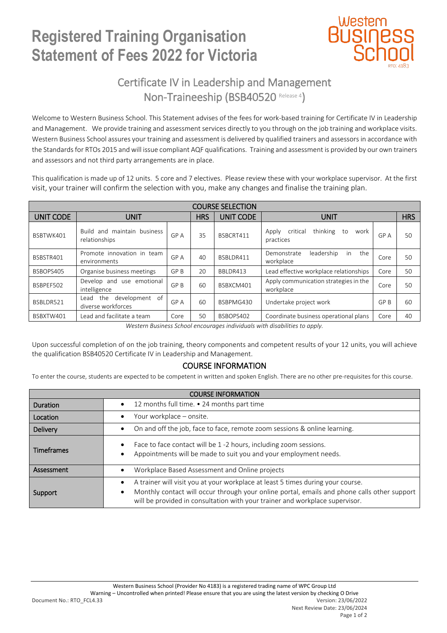## **Registered Training Organisation Statement of Fees 2022 for Victoria**



### Certificate IV in Leadership and Management Non-Traineeship (BSB40520 Release 4)

Welcome to Western Business School. This Statement advises of the fees for work-based training for Certificate IV in Leadership and Management. We provide training and assessment services directly to you through on the job training and workplace visits. Western Business School assures your training and assessment is delivered by qualified trainers and assessors in accordance with the Standards for RTOs 2015 and will issue compliant AQF qualifications. Training and assessment is provided by our own trainers and assessors and not third party arrangements are in place.

This qualification is made up of 12 units. 5 core and 7 electives. Please review these with your workplace supervisor. At the first visit, your trainer will confirm the selection with you, make any changes and finalise the training plan.

| <b>COURSE SELECTION</b> |                                                     |      |            |                  |                                                          |      |            |  |  |  |  |  |
|-------------------------|-----------------------------------------------------|------|------------|------------------|----------------------------------------------------------|------|------------|--|--|--|--|--|
| UNIT CODE               | <b>UNIT</b>                                         |      | <b>HRS</b> | <b>UNIT CODE</b> | <b>UNIT</b>                                              |      | <b>HRS</b> |  |  |  |  |  |
| BSBTWK401               | and maintain business<br>Build<br>relationships     | GP A | 35         | BSBCRT411        | thinking<br>critical<br>to<br>Apply<br>work<br>practices | GP A | 50         |  |  |  |  |  |
| BSBSTR401               | Promote innovation in team<br>environments          | GP A | 40         | BSBLDR411        | in<br>the<br>leadership<br>Demonstrate<br>workplace      | Core | 50         |  |  |  |  |  |
| BSBOPS405               | Organise business meetings                          | GP B | 20         | BBLDR413         | Lead effective workplace relationships                   | Core | 50         |  |  |  |  |  |
| BSBPEF502               | Develop and use emotional<br>intelligence           | GP B | 60         | BSBXCM401        | Apply communication strategies in the<br>workplace       | Core | 50         |  |  |  |  |  |
| BSBLDR521               | development of<br>the<br>Lead<br>diverse workforces | GP A | 60         | BSBPMG430        | Undertake project work                                   | GP B | 60         |  |  |  |  |  |
| BSBXTW401               | Lead and facilitate a team                          | Core | 50         | BSBOPS402        | Coordinate business operational plans                    | Core | 40         |  |  |  |  |  |

*Western Business School encourages individuals with disabilities to apply.*

Upon successful completion of on the job training, theory components and competent results of your 12 units, you will achieve the qualification BSB40520 Certificate IV in Leadership and Management.

### COURSE INFORMATION

To enter the course, students are expected to be competent in written and spoken English. There are no other pre-requisites for this course.

| <b>COURSE INFORMATION</b> |                                                                                                                                                                                                                                                                |  |  |  |  |
|---------------------------|----------------------------------------------------------------------------------------------------------------------------------------------------------------------------------------------------------------------------------------------------------------|--|--|--|--|
| Duration                  | 12 months full time. • 24 months part time<br>$\bullet$                                                                                                                                                                                                        |  |  |  |  |
| Location                  | Your workplace - onsite.                                                                                                                                                                                                                                       |  |  |  |  |
| <b>Delivery</b>           | On and off the job, face to face, remote zoom sessions & online learning.                                                                                                                                                                                      |  |  |  |  |
| <b>Timeframes</b>         | Face to face contact will be 1 -2 hours, including zoom sessions.<br>Appointments will be made to suit you and your employment needs.                                                                                                                          |  |  |  |  |
| Assessment                | Workplace Based Assessment and Online projects                                                                                                                                                                                                                 |  |  |  |  |
| Support                   | A trainer will visit you at your workplace at least 5 times during your course.<br>Monthly contact will occur through your online portal, emails and phone calls other support<br>will be provided in consultation with your trainer and workplace supervisor. |  |  |  |  |